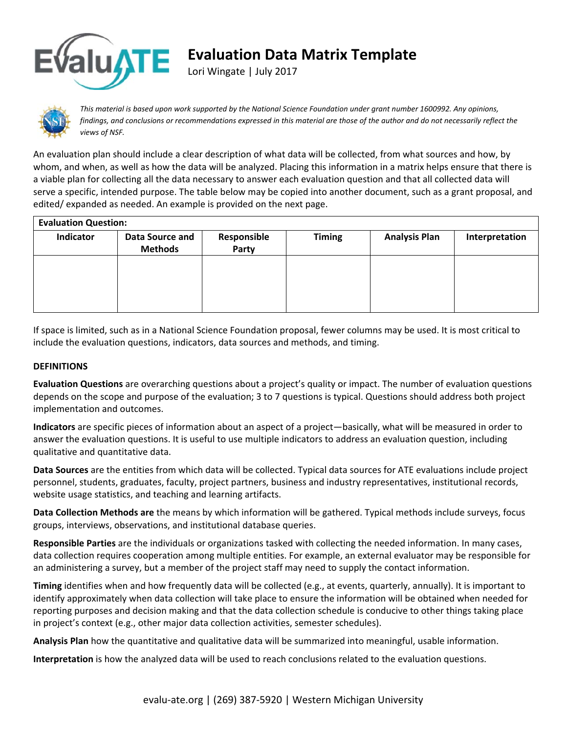

## **Evaluation Data Matrix Template**

Lori Wingate | July 2017



This material is based upon work supported by the National Science Foundation under grant number 1600992. Any opinions, findings, and conclusions or recommendations expressed in this material are those of the author and do not necessarily reflect the *views of NSF.* 

An evaluation plan should include a clear description of what data will be collected, from what sources and how, by whom, and when, as well as how the data will be analyzed. Placing this information in a matrix helps ensure that there is a viable plan for collecting all the data necessary to answer each evaluation question and that all collected data will serve a specific, intended purpose. The table below may be copied into another document, such as a grant proposal, and edited/ expanded as needed. An example is provided on the next page.

| <b>Evaluation Question:</b> |                                   |                      |               |                      |                |  |  |  |  |
|-----------------------------|-----------------------------------|----------------------|---------------|----------------------|----------------|--|--|--|--|
| Indicator                   | Data Source and<br><b>Methods</b> | Responsible<br>Party | <b>Timing</b> | <b>Analysis Plan</b> | Interpretation |  |  |  |  |
|                             |                                   |                      |               |                      |                |  |  |  |  |
|                             |                                   |                      |               |                      |                |  |  |  |  |

If space is limited, such as in a National Science Foundation proposal, fewer columns may be used. It is most critical to include the evaluation questions, indicators, data sources and methods, and timing.

## **DEFINITIONS**

**Evaluation Questions** are overarching questions about a project's quality or impact. The number of evaluation questions depends on the scope and purpose of the evaluation; 3 to 7 questions is typical. Questions should address both project implementation and outcomes.

**Indicators** are specific pieces of information about an aspect of a project—basically, what will be measured in order to answer the evaluation questions. It is useful to use multiple indicators to address an evaluation question, including qualitative and quantitative data.

**Data Sources** are the entities from which data will be collected. Typical data sources for ATE evaluations include project personnel, students, graduates, faculty, project partners, business and industry representatives, institutional records, website usage statistics, and teaching and learning artifacts.

**Data Collection Methods are** the means by which information will be gathered. Typical methods include surveys, focus groups, interviews, observations, and institutional database queries.

**Responsible Parties** are the individuals or organizations tasked with collecting the needed information. In many cases, data collection requires cooperation among multiple entities. For example, an external evaluator may be responsible for an administering a survey, but a member of the project staff may need to supply the contact information.

**Timing** identifies when and how frequently data will be collected (e.g., at events, quarterly, annually). It is important to identify approximately when data collection will take place to ensure the information will be obtained when needed for reporting purposes and decision making and that the data collection schedule is conducive to other things taking place in project's context (e.g., other major data collection activities, semester schedules).

**Analysis Plan** how the quantitative and qualitative data will be summarized into meaningful, usable information.

**Interpretation** is how the analyzed data will be used to reach conclusions related to the evaluation questions.